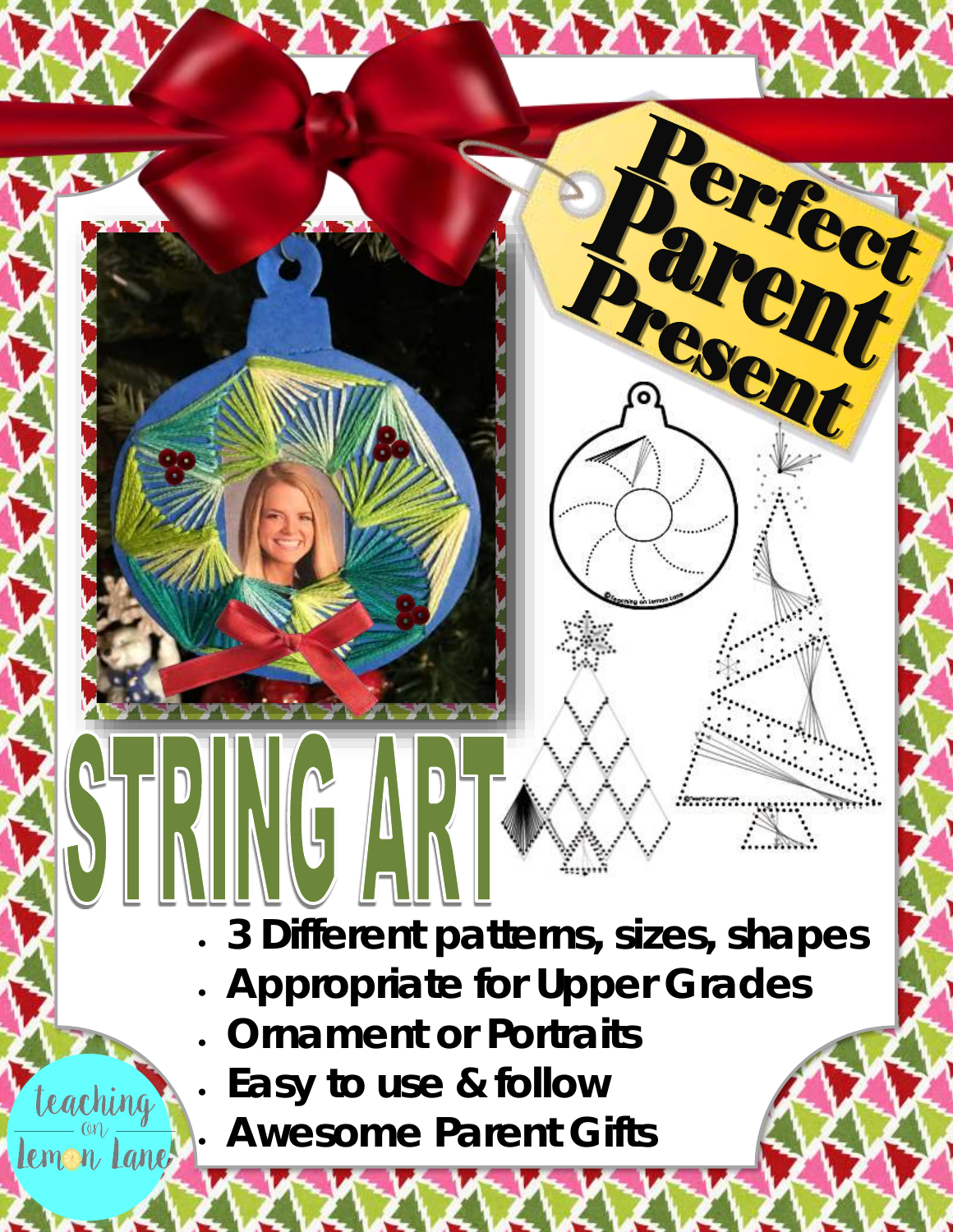**3 Different patterns, sizes, shapes**

Rency !!

- **Appropriate for Upper Grades**
- **Ornament or Portraits**
- **Easy to use & follow**

teaching

lemon Lane

**Awesome Parent Gifts**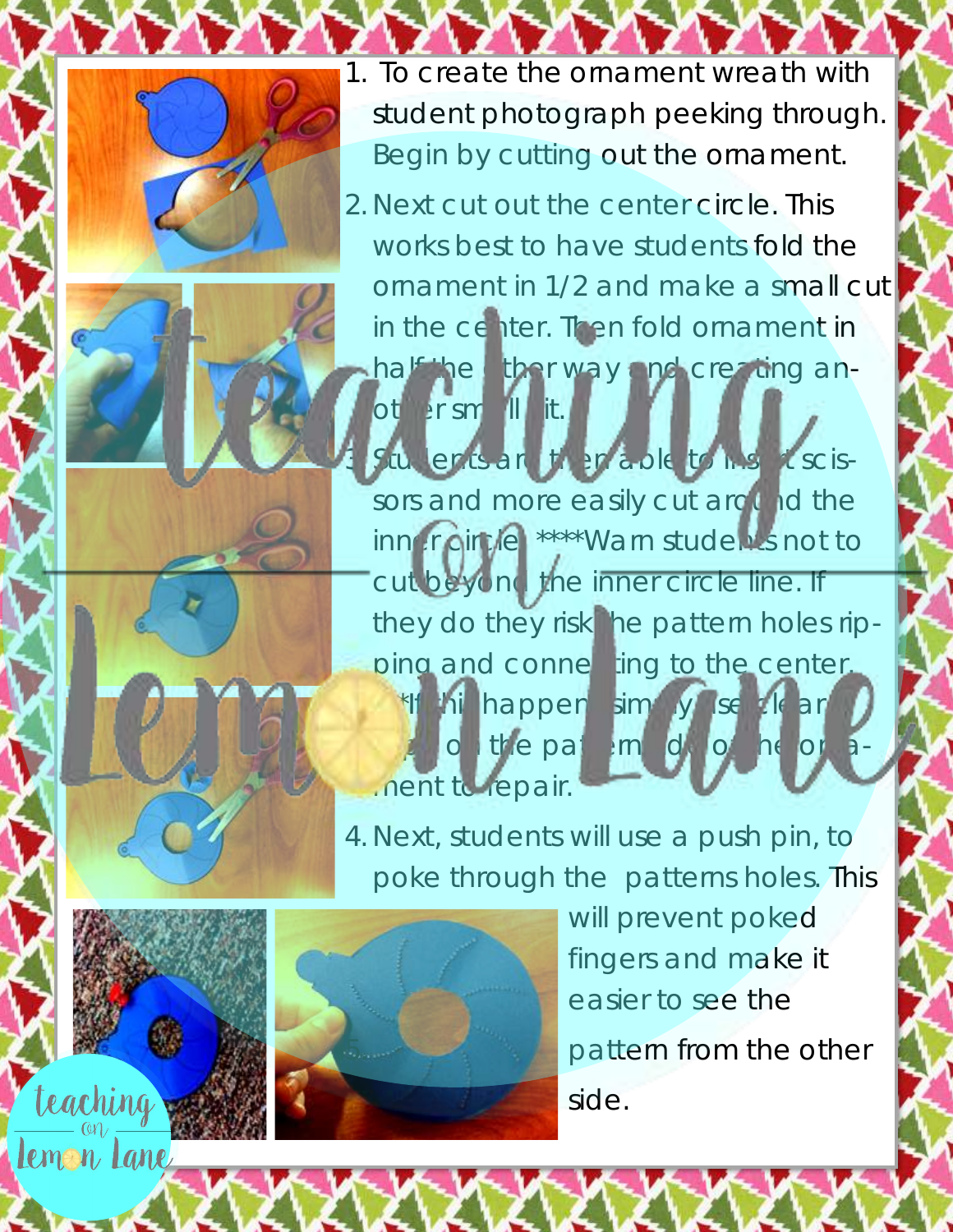

teaching

Lemon Lane

1. To create the ornament wreath with student photograph peeking through. Begin by cutting out the ornament.

2. Next cut out the center circle. This works best to have students fold the [ornament in 1/2 and make a small cut](https://www.teacherspayteachers.com/Store/Teaching-On-Lemon-Lane)  in the center. Then fold ornament in half the ther way and creating an-

Situdents are the preside to his rescissors and more easily cut around the inner circle. \*\*\*\*Warn students not to cut beyond the inner circle line. If they do they risk the pattern holes ripping and connecting to the center. \*If his happens im y se the art on the pattern de ment to repair.

4. Next, students will use a push pin, to poke through the patterns holes. This



other small sit.

will prevent poked fingers and make it easier to see the pattern from the other side.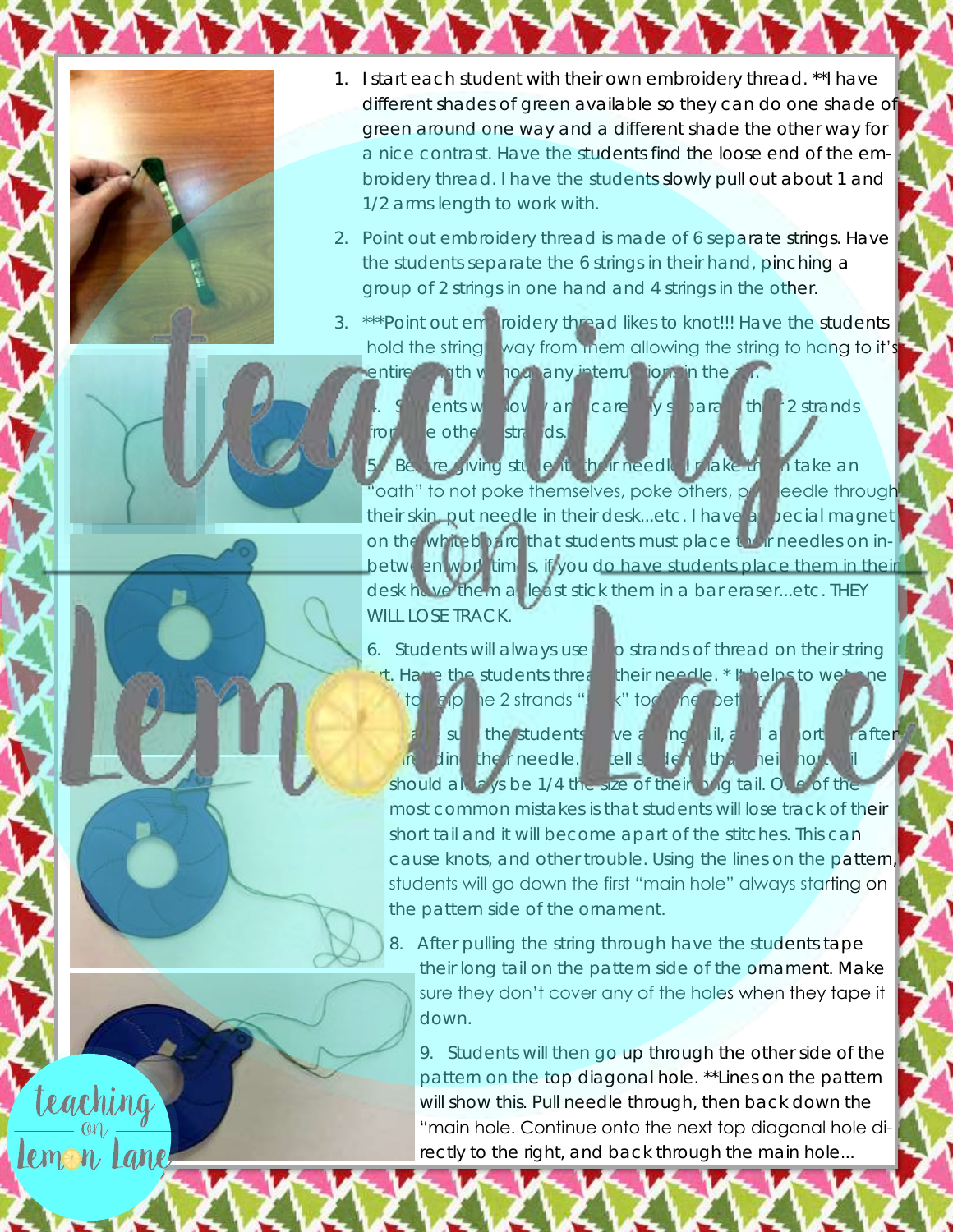

teaching

Lemon Lane

- 1. I start each student with their own embroidery thread. \*\*I have different shades of green available so they can do one shade of green around one way and a different shade the other way for a nice contrast. Have the students find the loose end of the embroidery thread. I have the students slowly pull out about 1 and 1/2 arms length to work with.
- 2. Point out embroidery thread is made of 6 separate strings. Have the students separate the 6 strings in their hand, pinching a group of 2 strings in one hand and 4 strings in the other.
- 3. \*\*\*Point out emproidery thread likes to knot!!! Have the students hold the string way from them allowing the string to hang to it's

entire length will housing any interruptions in the  $4.4$  kents will overland carefully subarate their 2 strands **from the strands.** 

re giving students hor needle I nake the intake an 'oath" to not poke themselves, poke others, put needle through their skin, put needle in their desk...etc. I have a special magnet on the whiteboard that students must place their needles on inbetween work times, if you do have students place them in their desk have theim at least stick them in a bar eraser...etc. THEY WILL LOSE TRACK.

to the 1e2 strands "stick" together better.

6. Students will always use two strands of thread on their string rt. Have the students thread their needle. \* It helps to wet one

> su the students ve a ng til, a la ort after the their needle. . . . lell students their net their short

should always be 1/4 the size of their long tail. One of the most common mistakes is that students will lose track of their short tail and it will become apart of the stitches. This can cause knots, and other trouble. Using the lines on the pattern, students will go down the first "main hole" always starting on the pattern side of the ornament.

8. After pulling the string through have the students tape their long tail on the pattern side of the ornament. Make sure they don't cover any of the holes when they tape it down.

9. Students will then go up through the other side of the pattern on the top diagonal hole. \*\*Lines on the pattern will show this. Pull needle through, then back down the "main hole. Continue onto the next top diagonal hole directly to the right, and back through the main hole...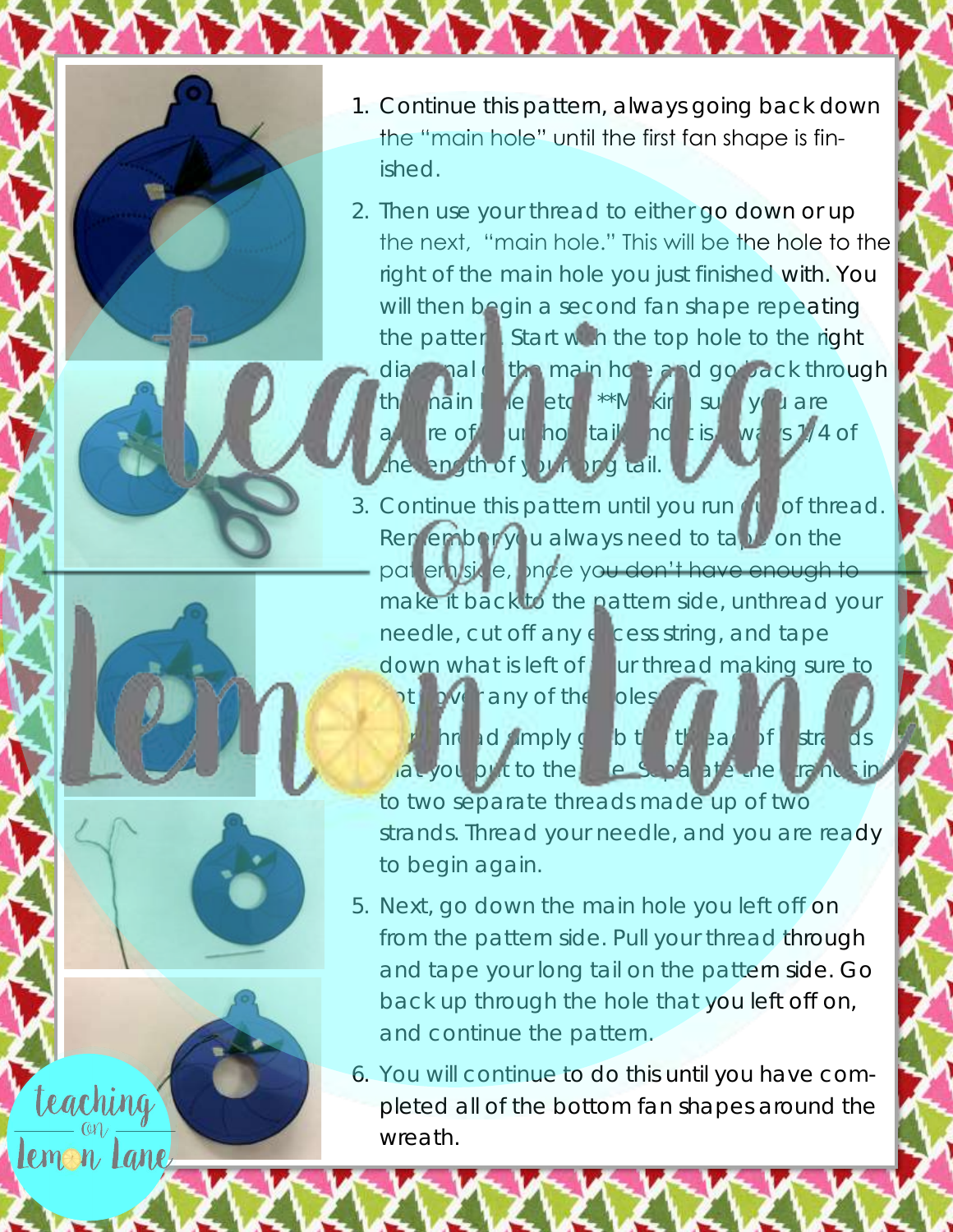

teaching

Lemon Lane

- 1. Continue this pattern, always going back down the "main hole" until the first fan shape is finished.
- 2. Then use your thread to either go down or up [the next, "main hole." This will be the hole to the](https://www.teacherspayteachers.com/Store/Teaching-On-Lemon-Lane)  right of the main hole you just finished with. You will then begin a second fan shape repeating the pattern. Start with the top hole to the right
	- diagonal of the main hole and go back through the nain hole...etc. \*\*Making sure you are aware of a unit not tail, and its ways 1/4 of the langth of your long tail.
- 3. Continue this pattern until you run of thread. Remember you always need to tape on the pat ern side, once you don't have enough to make it back to the pattern side, unthread your needle, cut off any excess string, and tape down what is left of  $y$  ur thread making sure to pt cover any of the holes. 4. The ad simply grab the thread of 4 strands

to two separate threads made up of two strands. Thread your needle, and you are ready to begin again.

 $\tan y$ ou put to the  $\tan y$  side. Separate the strands in-

5. Next, go down the main hole you left off on from the pattern side. Pull your thread through and tape your long tail on the pattern side. Go back up through the hole that you left off on, and continue the pattern.

6. You will continue to do this until you have completed all of the bottom fan shapes around the wreath.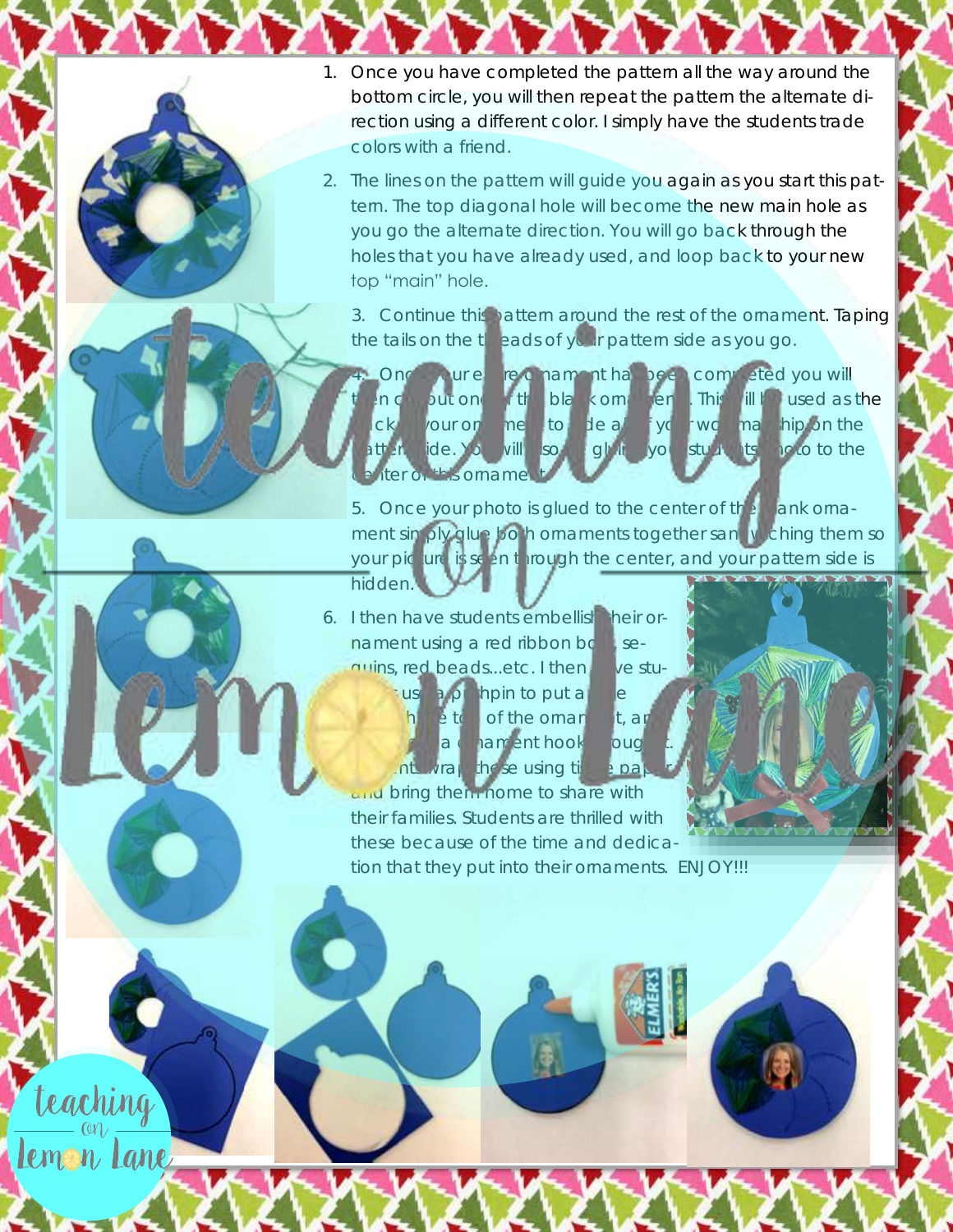- 1. Once you have completed the pattern all the way around the bottom circle, you will then repeat the pattern the alternate direction using a different color. I simply have the students trade colors with a friend.
- 2. The lines on the pattern will guide you again as you start this pattern. The top diagonal hole will become the new main hole as you go the alternate direction. You will go back through the holes that you have already used, and loop back to your new top "main" hole.

3. Continue this pattern around the rest of the ornament. Taping the tails on the threads of your pattern side as you go.

Once your entire or nament has been completed you will but one state blank ornaments. This will be used as the ck your ornamento deall you wo has hip on the attern-side. You will so be gluing you students photo to the is orname

5. Once your photo is glued to the center of the bank ornament simply glue both ornaments together sandwiching them so your picture is seen through the center, and your pattern side is hidden.

6. I then have students embellish heir ornament using a red ribbon bow, sequins, red beads...etc. I then have stuuse a pull hpin to put a

teaching

Lemon Lane

a contament hook to ough **Students wrap the set using tissue paper** and bring them nome to share with their families. Students are thrilled with these because of the time and dedica-

h etc of the ornanet, and

tion that they put into their ornaments. ENJOY!!!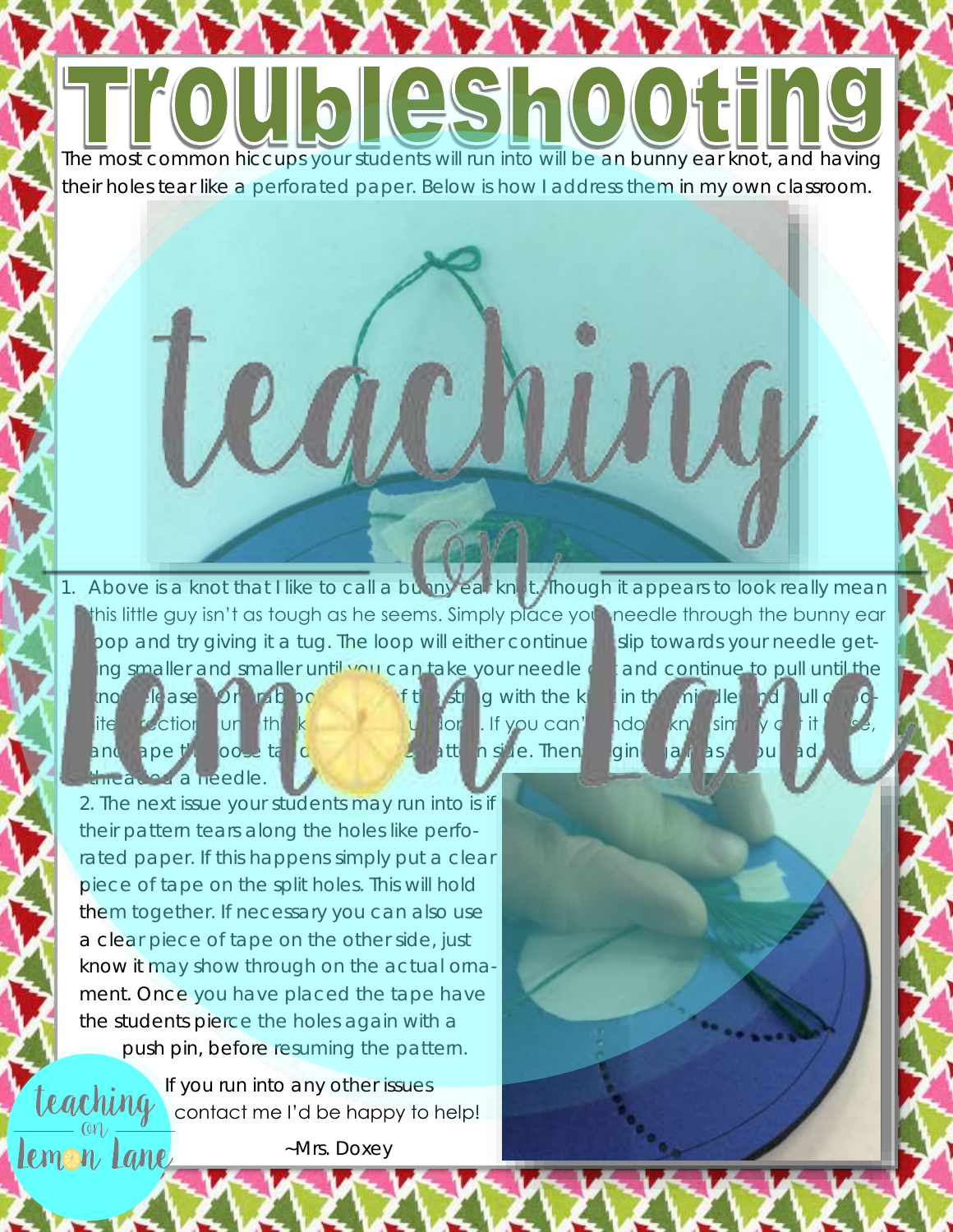UbleShoot [The most common hiccups your students will run into will be an bunny ear knot, and having](https://www.teacherspayteachers.com/Store/Teaching-On-Lemon-Lane)  their holes tear like a perforated paper. Below is how I address them in my own classroom.

achin Above is a knot that I like to call a bunny ear knot. Though it appears to look really mean

this little guy isn't as tough as he seems. Simply place your needle through the bunny ear pop and try giving it a tug. The loop will either continue **this slip towards your needle get**ng smaller and smaller until you can take your needle can and continue to pull until the

inot release. Or rab both ends of the string with the knowin the middle and pull of ite direction until the knowledge undone. If you can't undo a knowledge it loose, it loose, a knot simply cut it and ape the loose tail down on the pattern side. Then  $\lim_{n \to \infty}$  as if you had rethreaded a needle.

Lemon Lane

2. The next issue your students may run into is if their pattern tears along the holes like perforated paper. If this happens simply put a clear piece of tape on the split holes. This will hold them together. If necessary you can also use a clear piece of tape on the other side, just know it may show through on the actual ornament. Once you have placed the tape have the students pierce the holes again with a [push p](https://www.teacherspayteachers.com/Store/Teaching-On-Lemon-Lane)in, before resuming the pattern.

If you run into any other issues teaching contact me I'd be happy to help!

~Mrs. Doxey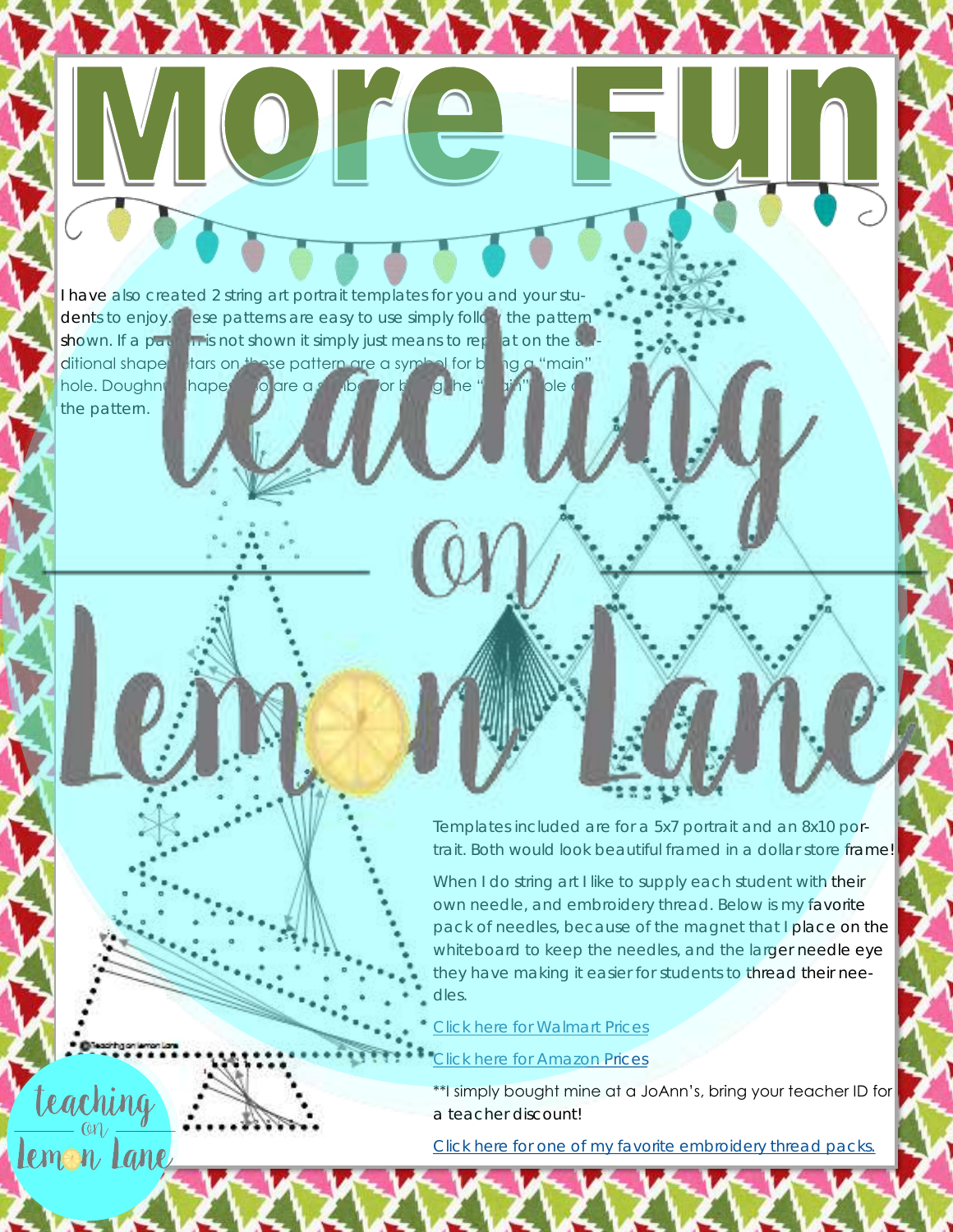the pattern.

teaching

Lemon Lane

I have also created 2 string art portrait templates for you and your students to enjoy. These patterns are easy to use simply follow the pattern shown. If a pattern is not shown it simply just means to repeat on the  $\alpha$ ditional shapes tars on these pattern are a symbol for being a "main" hole. Doughnut hapes also are a symbol for being he "main" ble on

 $\bullet$   $\bullet$ 

Templates included are for a 5x7 portrait and an 8x10 portrait. Both would look beautiful framed in a dollar store frame!

When I do string art I like to supply each student with their own needle, and embroidery thread. Below is my favorite pack of needles, because of the magnet that I place on the whiteboard to keep the needles, and the larger needle eye they have making it easier for students to thread their needles.

[Click here for Walmart Prices](http://bit.ly/2hwKCsP)

## [Click here for Amazon Prices](http://amzn.to/2hxn47w)

\*\*I simply bought mine at a JoAnn's, bring your teacher ID for a teacher discount!

[Click here for one of my favorite embroidery thread packs.](http://amzn.to/2hFYpk6)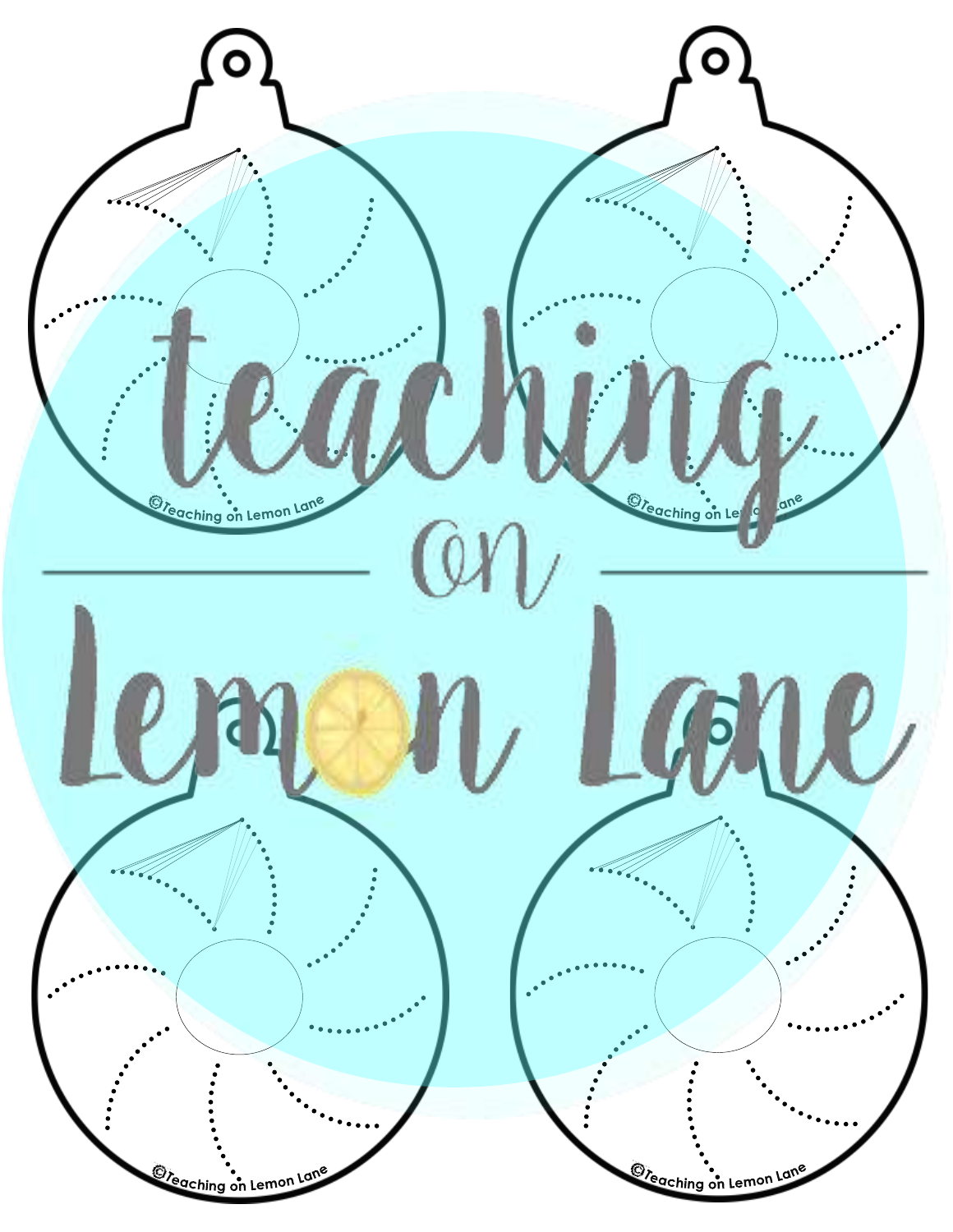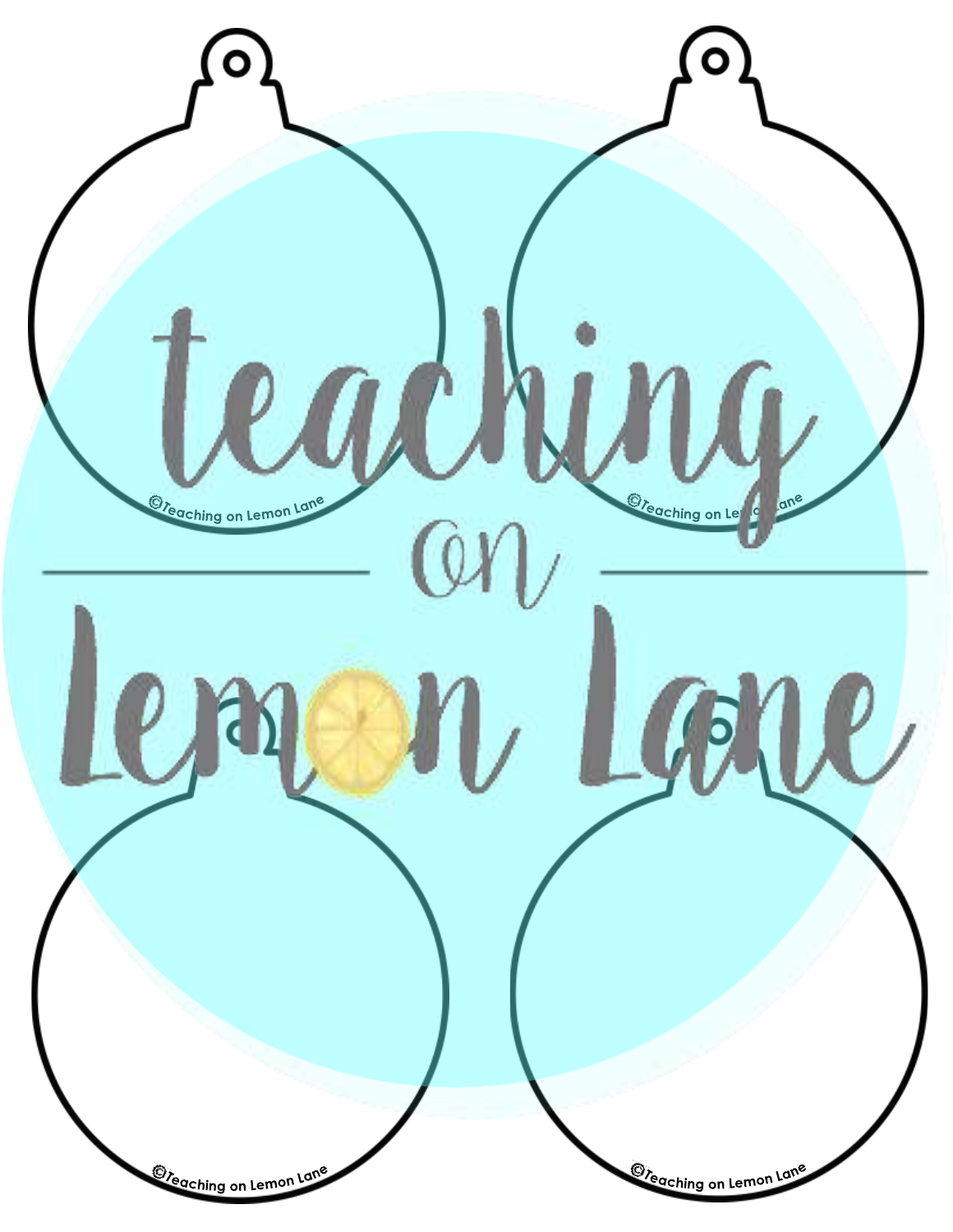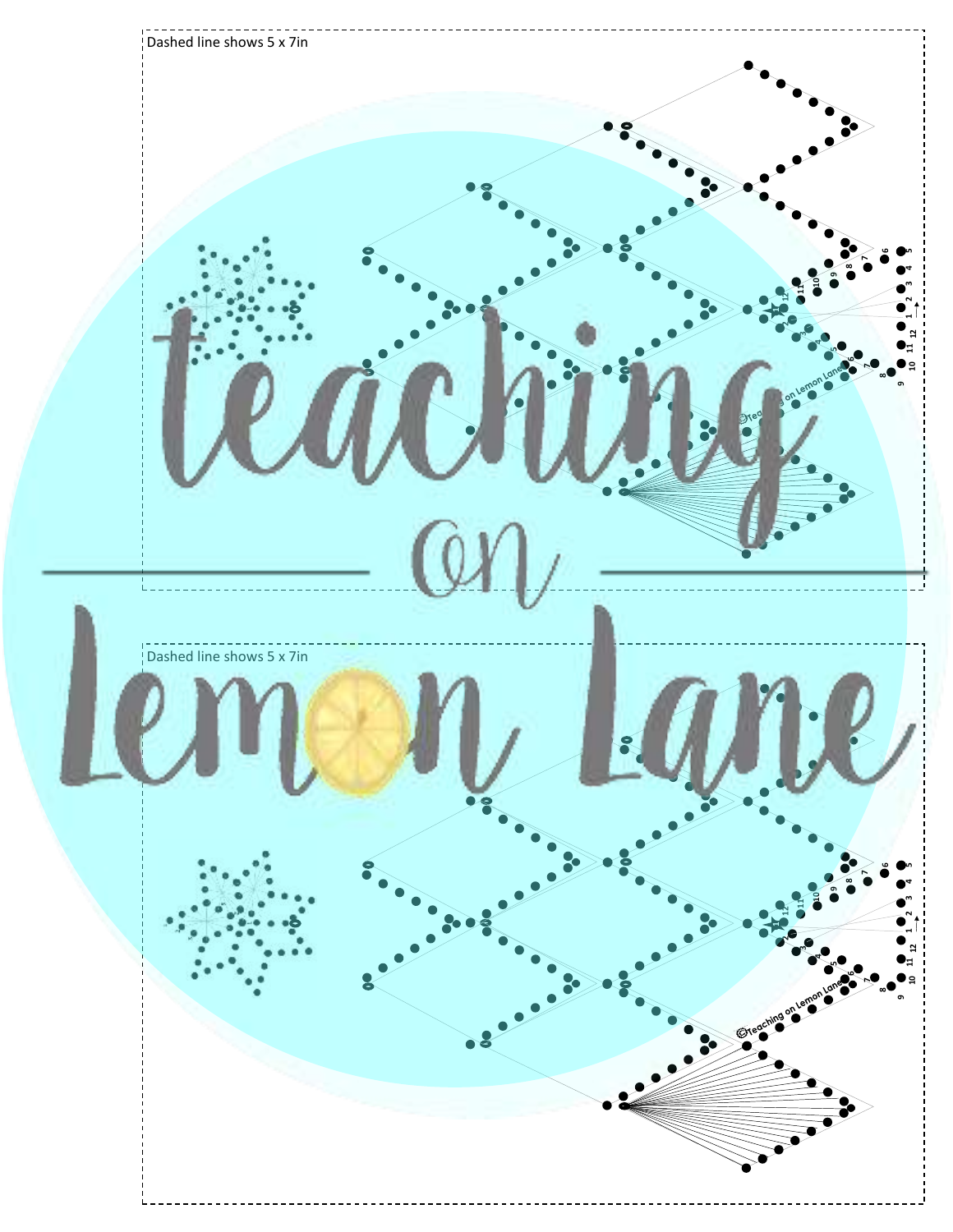